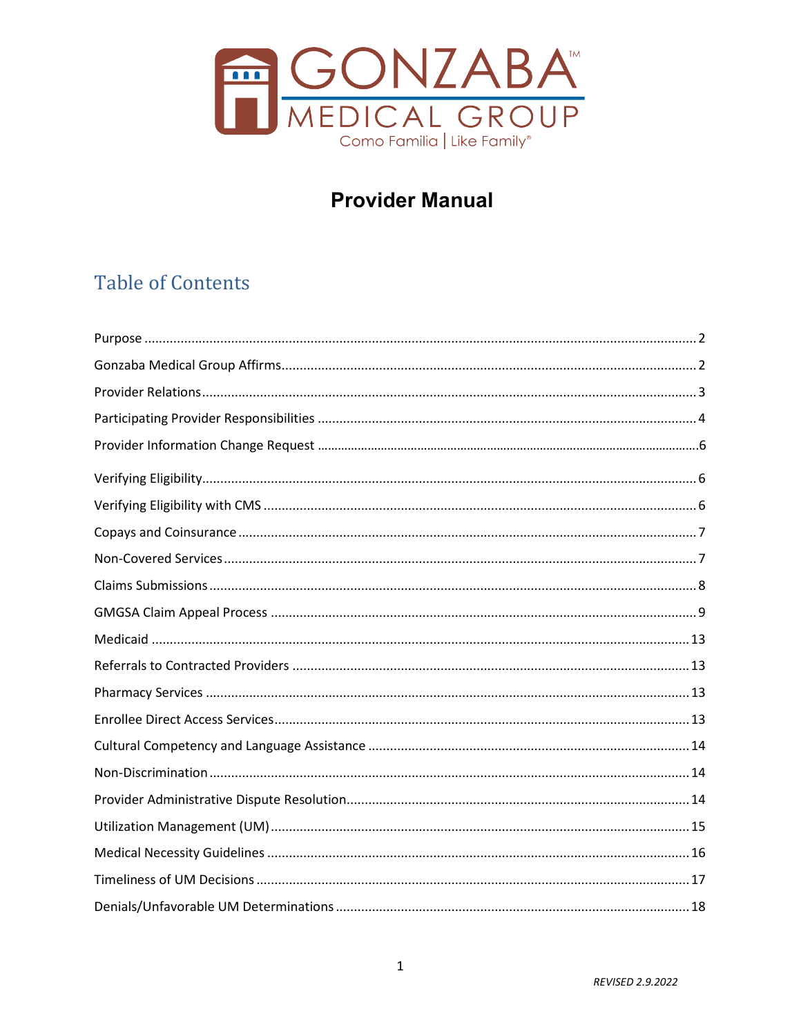

# **Provider Manual**

# **Table of Contents**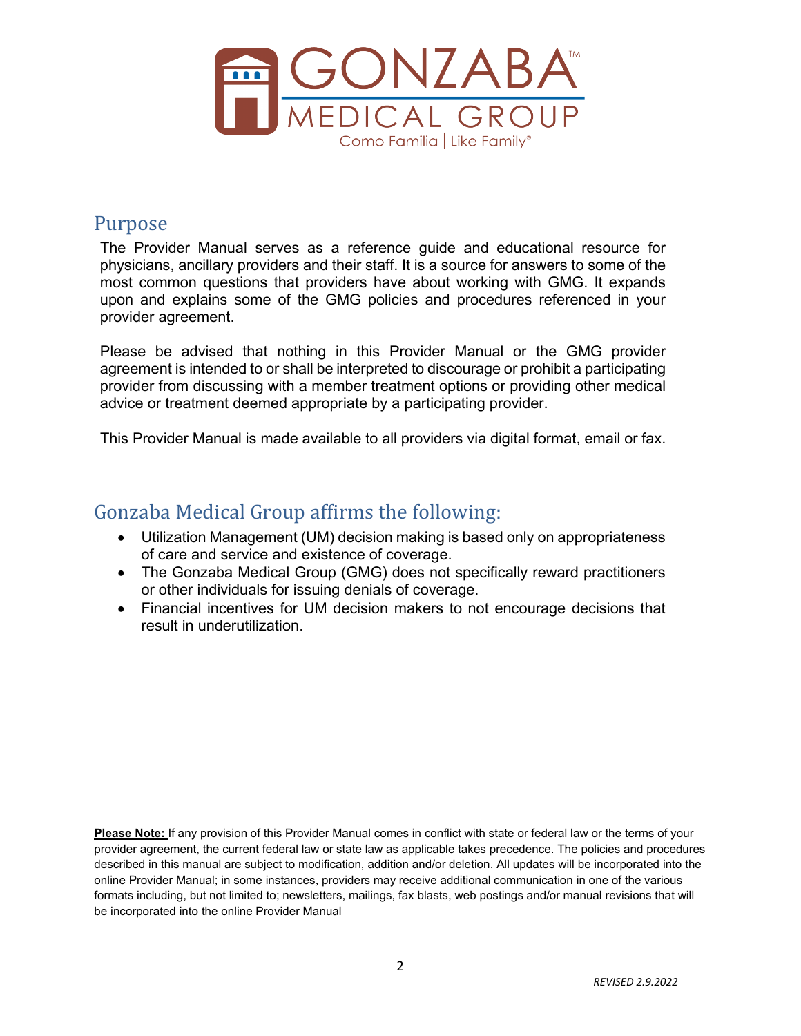

### <span id="page-1-0"></span>Purpose

The Provider Manual serves as a reference guide and educational resource for physicians, ancillary providers and their staff. It is a source for answers to some of the most common questions that providers have about working with GMG. It expands upon and explains some of the GMG policies and procedures referenced in your provider agreement.

Please be advised that nothing in this Provider Manual or the GMG provider agreement is intended to or shall be interpreted to discourage or prohibit a participating provider from discussing with a member treatment options or providing other medical advice or treatment deemed appropriate by a participating provider.

This Provider Manual is made available to all providers via digital format, email or fax.

### <span id="page-1-1"></span>Gonzaba Medical Group affirms the following:

- Utilization Management (UM) decision making is based only on appropriateness of care and service and existence of coverage.
- The Gonzaba Medical Group (GMG) does not specifically reward practitioners or other individuals for issuing denials of coverage.
- Financial incentives for UM decision makers to not encourage decisions that result in underutilization.

**Please Note:** If any provision of this Provider Manual comes in conflict with state or federal law or the terms of your provider agreement, the current federal law or state law as applicable takes precedence. The policies and procedures described in this manual are subject to modification, addition and/or deletion. All updates will be incorporated into the online Provider Manual; in some instances, providers may receive additional communication in one of the various formats including, but not limited to; newsletters, mailings, fax blasts, web postings and/or manual revisions that will be incorporated into the online Provider Manual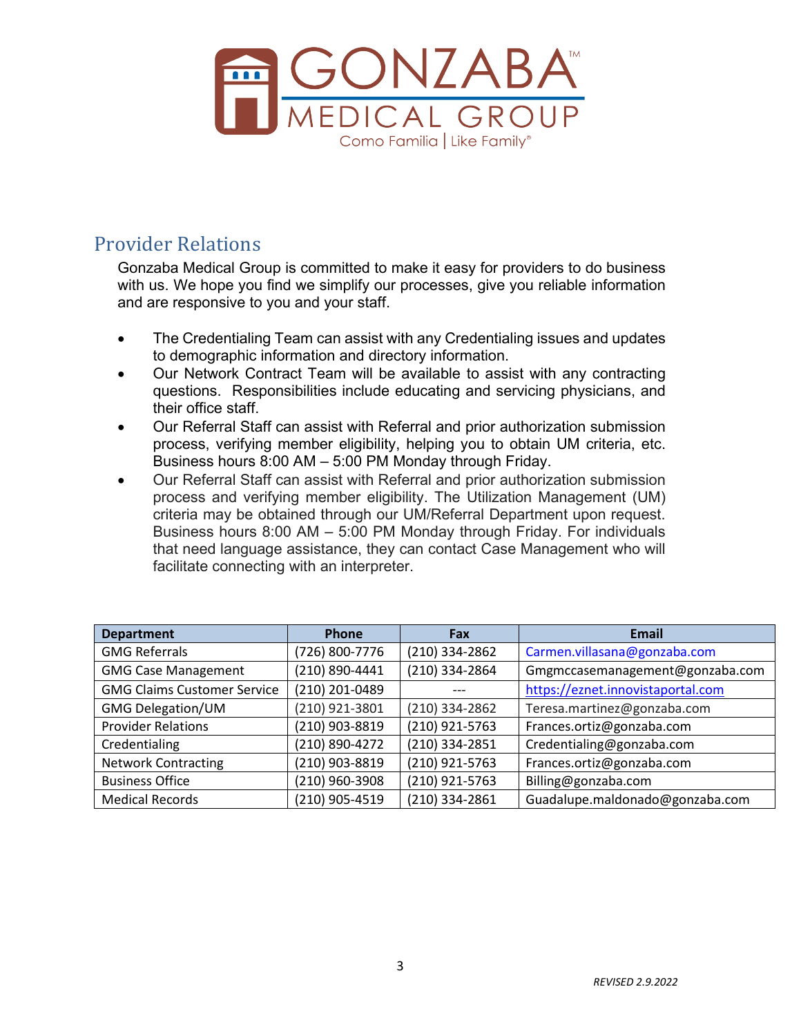

## <span id="page-2-0"></span>Provider Relations

Gonzaba Medical Group is committed to make it easy for providers to do business with us. We hope you find we simplify our processes, give you reliable information and are responsive to you and your staff.

- The Credentialing Team can assist with any Credentialing issues and updates to demographic information and directory information.
- Our Network Contract Team will be available to assist with any contracting questions. Responsibilities include educating and servicing physicians, and their office staff.
- Our Referral Staff can assist with Referral and prior authorization submission process, verifying member eligibility, helping you to obtain UM criteria, etc. Business hours 8:00 AM – 5:00 PM Monday through Friday.
- Our Referral Staff can assist with Referral and prior authorization submission process and verifying member eligibility. The Utilization Management (UM) criteria may be obtained through our UM/Referral Department upon request. Business hours 8:00 AM – 5:00 PM Monday through Friday. For individuals that need language assistance, they can contact Case Management who will facilitate connecting with an interpreter.

| <b>Department</b>                  | <b>Phone</b>   | Fax            | Email                             |
|------------------------------------|----------------|----------------|-----------------------------------|
| <b>GMG Referrals</b>               | (726) 800-7776 | (210) 334-2862 | Carmen.villasana@gonzaba.com      |
| <b>GMG Case Management</b>         | (210) 890-4441 | (210) 334-2864 | Gmgmccasemanagement@gonzaba.com   |
| <b>GMG Claims Customer Service</b> | (210) 201-0489 |                | https://eznet.innovistaportal.com |
| <b>GMG Delegation/UM</b>           | (210) 921-3801 | (210) 334-2862 | Teresa.martinez@gonzaba.com       |
| <b>Provider Relations</b>          | (210) 903-8819 | (210) 921-5763 | Frances.ortiz@gonzaba.com         |
| Credentialing                      | (210) 890-4272 | (210) 334-2851 | Credentialing@gonzaba.com         |
| <b>Network Contracting</b>         | (210) 903-8819 | (210) 921-5763 | Frances.ortiz@gonzaba.com         |
| <b>Business Office</b>             | (210) 960-3908 | (210) 921-5763 | Billing@gonzaba.com               |
| <b>Medical Records</b>             | (210) 905-4519 | (210) 334-2861 | Guadalupe.maldonado@gonzaba.com   |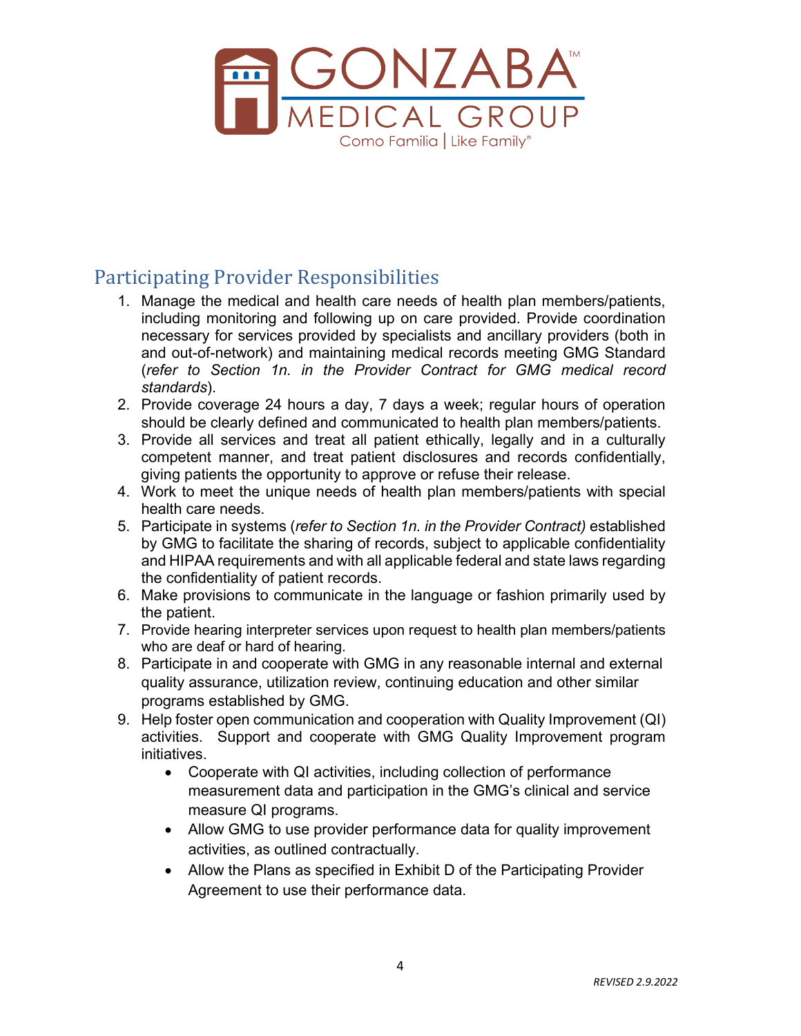

# <span id="page-3-0"></span>Participating Provider Responsibilities

- 1. Manage the medical and health care needs of health plan members/patients, including monitoring and following up on care provided. Provide coordination necessary for services provided by specialists and ancillary providers (both in and out-of-network) and maintaining medical records meeting GMG Standard (*refer to Section 1n. in the Provider Contract for GMG medical record standards*).
- 2. Provide coverage 24 hours a day, 7 days a week; regular hours of operation should be clearly defined and communicated to health plan members/patients.
- 3. Provide all services and treat all patient ethically, legally and in a culturally competent manner, and treat patient disclosures and records confidentially, giving patients the opportunity to approve or refuse their release.
- 4. Work to meet the unique needs of health plan members/patients with special health care needs.
- 5. Participate in systems (*refer to Section 1n. in the Provider Contract)* established by GMG to facilitate the sharing of records, subject to applicable confidentiality and HIPAA requirements and with all applicable federal and state laws regarding the confidentiality of patient records.
- 6. Make provisions to communicate in the language or fashion primarily used by the patient.
- 7. Provide hearing interpreter services upon request to health plan members/patients who are deaf or hard of hearing.
- 8. Participate in and cooperate with GMG in any reasonable internal and external quality assurance, utilization review, continuing education and other similar programs established by GMG.
- 9. Help foster open communication and cooperation with Quality Improvement (QI) activities. Support and cooperate with GMG Quality Improvement program initiatives.
	- Cooperate with QI activities, including collection of performance measurement data and participation in the GMG's clinical and service measure QI programs.
	- Allow GMG to use provider performance data for quality improvement activities, as outlined contractually.
	- Allow the Plans as specified in Exhibit D of the Participating Provider Agreement to use their performance data.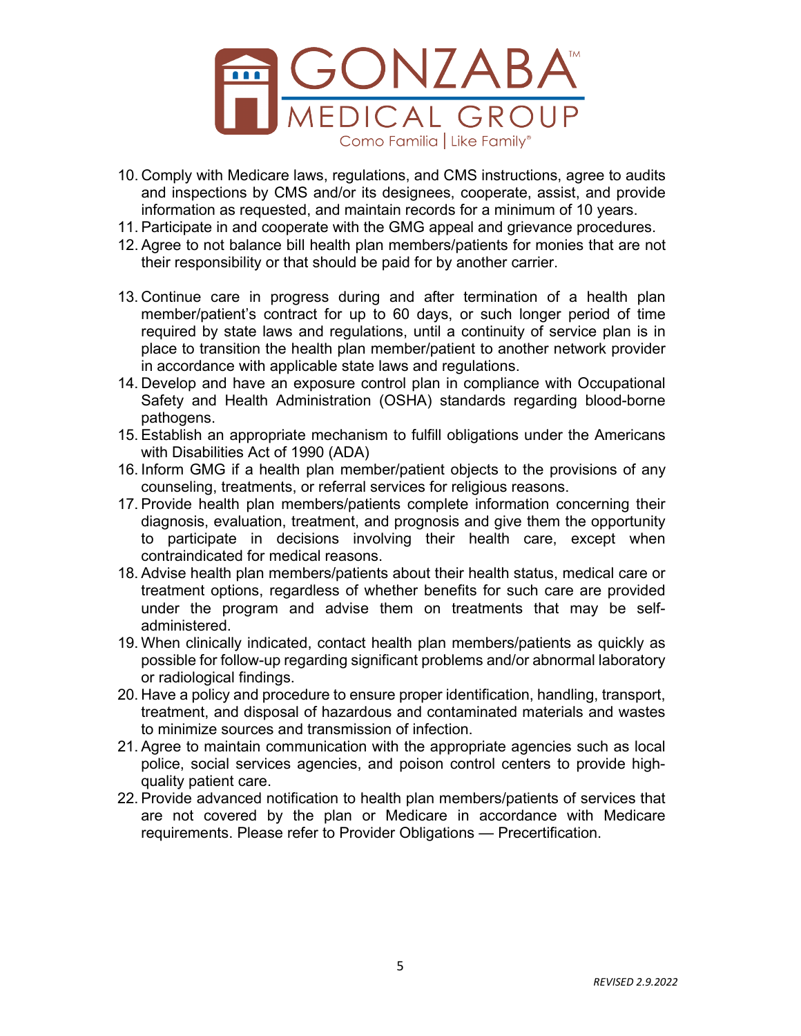

- 10. Comply with Medicare laws, regulations, and CMS instructions, agree to audits and inspections by CMS and/or its designees, cooperate, assist, and provide information as requested, and maintain records for a minimum of 10 years.
- 11. Participate in and cooperate with the GMG appeal and grievance procedures.
- 12. Agree to not balance bill health plan members/patients for monies that are not their responsibility or that should be paid for by another carrier.
- 13. Continue care in progress during and after termination of a health plan member/patient's contract for up to 60 days, or such longer period of time required by state laws and regulations, until a continuity of service plan is in place to transition the health plan member/patient to another network provider in accordance with applicable state laws and regulations.
- 14. Develop and have an exposure control plan in compliance with Occupational Safety and Health Administration (OSHA) standards regarding blood-borne pathogens.
- 15. Establish an appropriate mechanism to fulfill obligations under the Americans with Disabilities Act of 1990 (ADA)
- 16. Inform GMG if a health plan member/patient objects to the provisions of any counseling, treatments, or referral services for religious reasons.
- 17. Provide health plan members/patients complete information concerning their diagnosis, evaluation, treatment, and prognosis and give them the opportunity to participate in decisions involving their health care, except when contraindicated for medical reasons.
- 18. Advise health plan members/patients about their health status, medical care or treatment options, regardless of whether benefits for such care are provided under the program and advise them on treatments that may be selfadministered.
- 19. When clinically indicated, contact health plan members/patients as quickly as possible for follow-up regarding significant problems and/or abnormal laboratory or radiological findings.
- 20. Have a policy and procedure to ensure proper identification, handling, transport, treatment, and disposal of hazardous and contaminated materials and wastes to minimize sources and transmission of infection.
- 21. Agree to maintain communication with the appropriate agencies such as local police, social services agencies, and poison control centers to provide highquality patient care.
- 22. Provide advanced notification to health plan members/patients of services that are not covered by the plan or Medicare in accordance with Medicare requirements. Please refer to Provider Obligations — Precertification.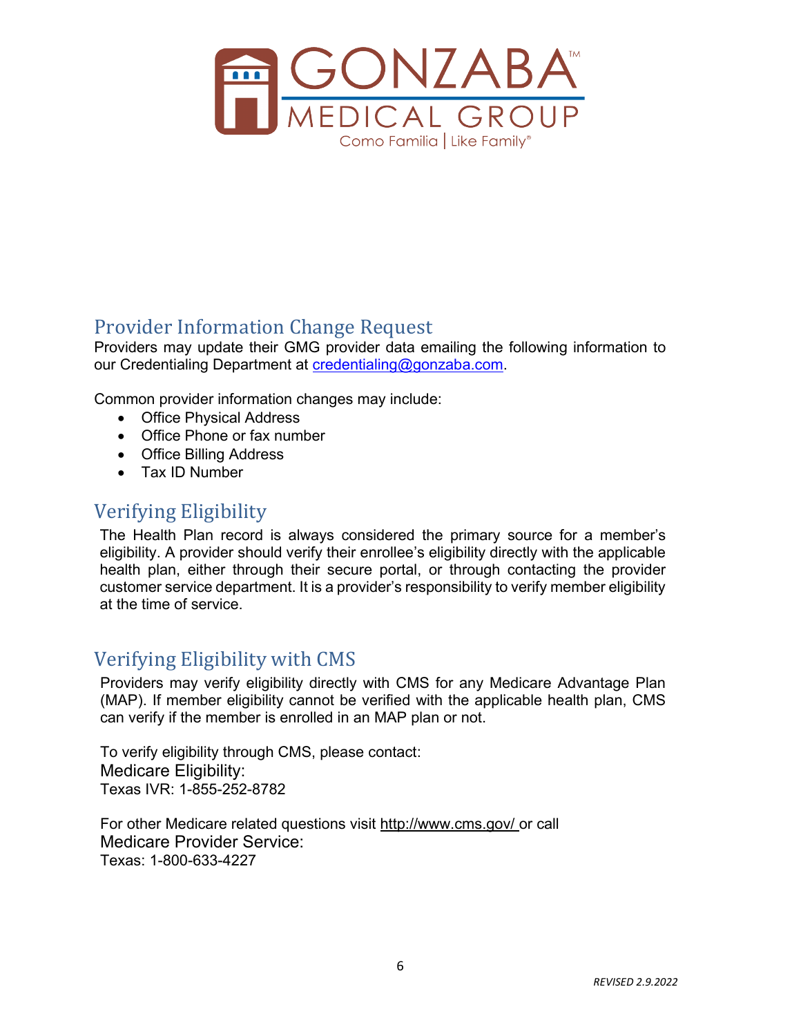

# Provider Information Change Request

Providers may update their GMG provider data emailing the following information to our Credentialing Department at [credentialing@gonzaba.com.](mailto:credentialing@gonzaba.com)

Common provider information changes may include:

- Office Physical Address
- Office Phone or fax number
- Office Billing Address
- Tax ID Number

## <span id="page-5-0"></span>Verifying Eligibility

The Health Plan record is always considered the primary source for a member's eligibility. A provider should verify their enrollee's eligibility directly with the applicable health plan, either through their secure portal, or through contacting the provider customer service department. It is a provider's responsibility to verify member eligibility at the time of service.

# <span id="page-5-1"></span>Verifying Eligibility with CMS

Providers may verify eligibility directly with CMS for any Medicare Advantage Plan (MAP). If member eligibility cannot be verified with the applicable health plan, CMS can verify if the member is enrolled in an MAP plan or not.

To verify eligibility through CMS, please contact: Medicare Eligibility: Texas IVR: 1-855-252-8782

For other Medicare related questions visit http://www.cms.gov/ or call Medicare Provider Service: Texas: 1-800-633-4227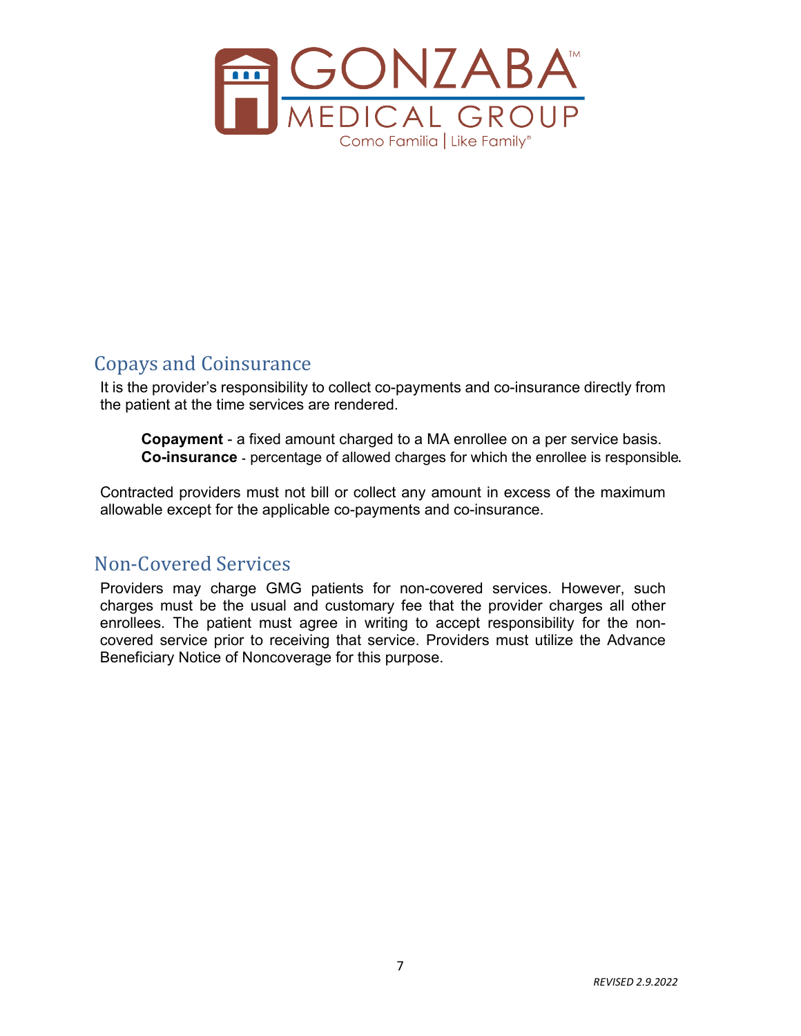

# <span id="page-6-0"></span>Copays and Coinsurance

It is the provider's responsibility to collect co-payments and co-insurance directly from the patient at the time services are rendered.

**Copayment** - a fixed amount charged to a MA enrollee on a per service basis. **Co-insurance** - percentage of allowed charges for which the enrollee is responsible.

Contracted providers must not bill or collect any amount in excess of the maximum allowable except for the applicable co-payments and co-insurance.

## <span id="page-6-1"></span>Non-Covered Services

Providers may charge GMG patients for non-covered services. However, such charges must be the usual and customary fee that the provider charges all other enrollees. The patient must agree in writing to accept responsibility for the noncovered service prior to receiving that service. Providers must utilize the Advance Beneficiary Notice of Noncoverage for this purpose.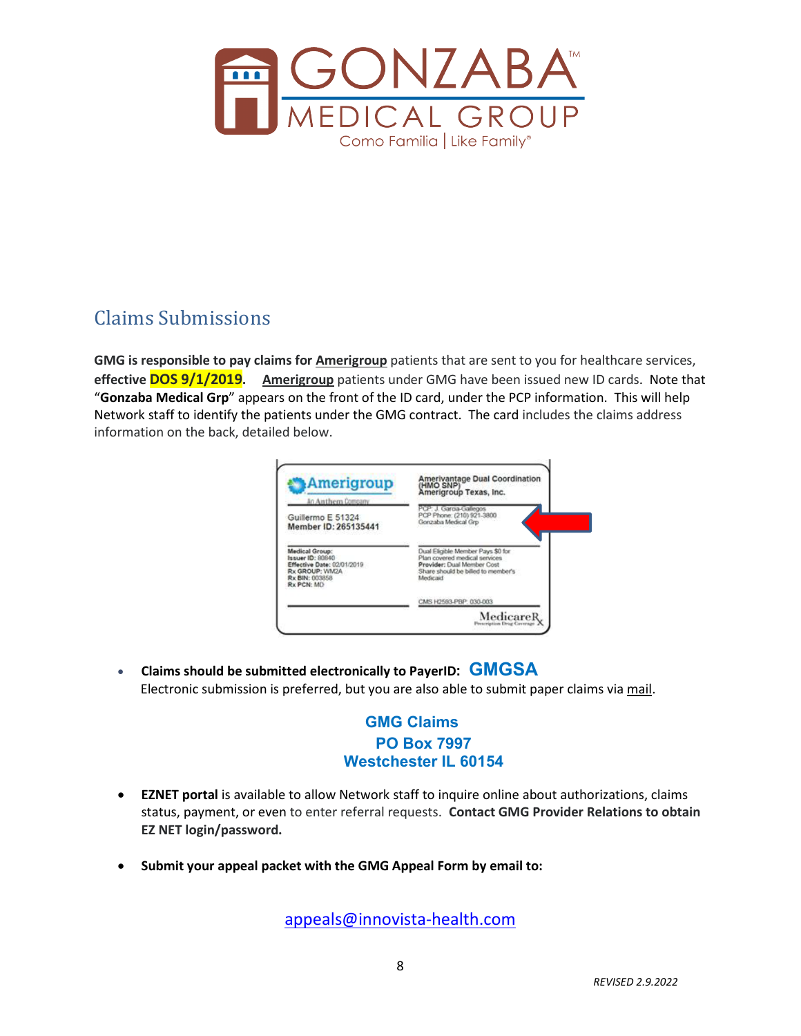

# <span id="page-7-0"></span>Claims Submissions

**GMG is responsible to pay claims for Amerigroup** patients that are sent to you for healthcare services, **effective DOS 9/1/2019. Amerigroup** patients under GMG have been issued new ID cards. Note that "**Gonzaba Medical Grp**" appears on the front of the ID card, under the PCP information. This will help Network staff to identify the patients under the GMG contract. The card includes the claims address information on the back, detailed below.



• **Claims should be submitted electronically to PayerID: GMGSA** Electronic submission is preferred, but you are also able to submit paper claims via mail.

### **GMG Claims PO Box 7997 Westchester IL 60154**

- **EZNET portal** is available to allow Network staff to inquire online about authorizations, claims status, payment, or even to enter referral requests. **Contact GMG Provider Relations to obtain EZ NET login/password.**
- **Submit your appeal packet with the GMG Appeal Form by email to:**

[appeals@innovista-health.com](mailto:appeals@innovista-health.com)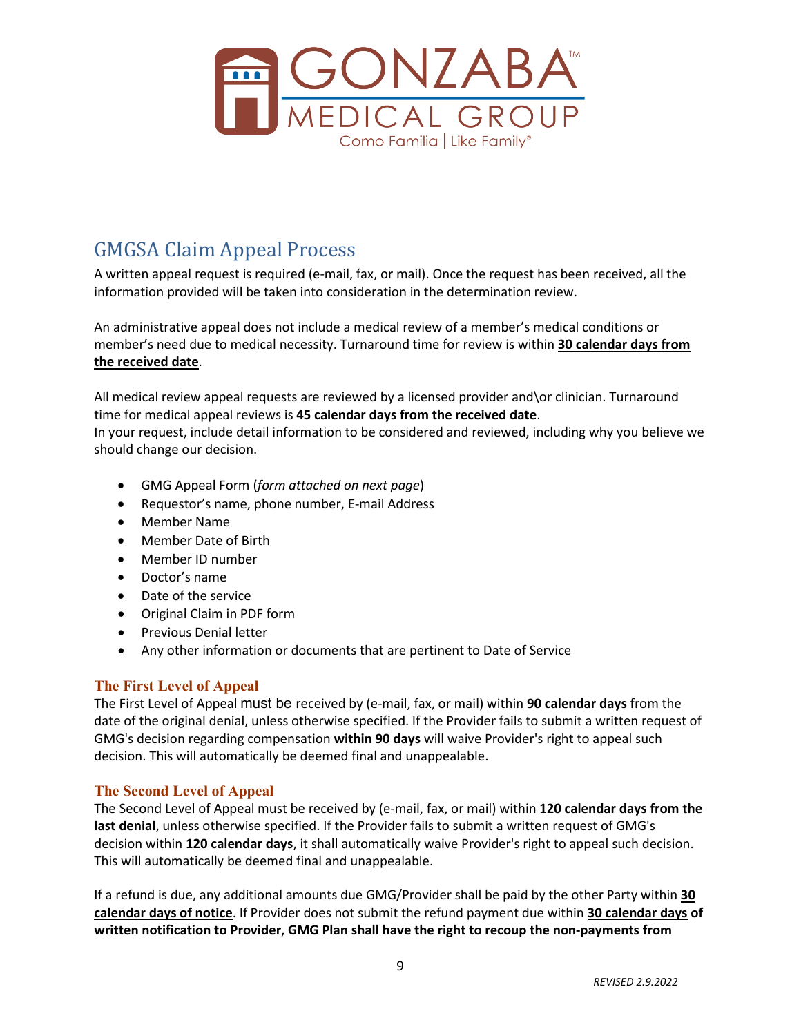

# <span id="page-8-0"></span>GMGSA Claim Appeal Process

A written appeal request is required (e-mail, fax, or mail). Once the request has been received, all the information provided will be taken into consideration in the determination review.

An administrative appeal does not include a medical review of a member's medical conditions or member's need due to medical necessity. Turnaround time for review is within **30 calendar days from the received date**.

All medical review appeal requests are reviewed by a licensed provider and\or clinician. Turnaround time for medical appeal reviews is **45 calendar days from the received date**.

In your request, include detail information to be considered and reviewed, including why you believe we should change our decision.

- GMG Appeal Form (*form attached on next page*)
- Requestor's name, phone number, E-mail Address
- Member Name
- Member Date of Birth
- Member ID number
- Doctor's name
- Date of the service
- Original Claim in PDF form
- Previous Denial letter
- Any other information or documents that are pertinent to Date of Service

#### **The First Level of Appeal**

The First Level of Appeal must be received by (e-mail, fax, or mail) within **90 calendar days** from the date of the original denial, unless otherwise specified. If the Provider fails to submit a written request of GMG's decision regarding compensation **within 90 days** will waive Provider's right to appeal such decision. This will automatically be deemed final and unappealable.

#### **The Second Level of Appeal**

The Second Level of Appeal must be received by (e-mail, fax, or mail) within **120 calendar days from the last denial**, unless otherwise specified. If the Provider fails to submit a written request of GMG's decision within **120 calendar days**, it shall automatically waive Provider's right to appeal such decision. This will automatically be deemed final and unappealable.

If a refund is due, any additional amounts due GMG/Provider shall be paid by the other Party within **30 calendar days of notice**. If Provider does not submit the refund payment due within **30 calendar days of written notification to Provider**, **GMG Plan shall have the right to recoup the non-payments from**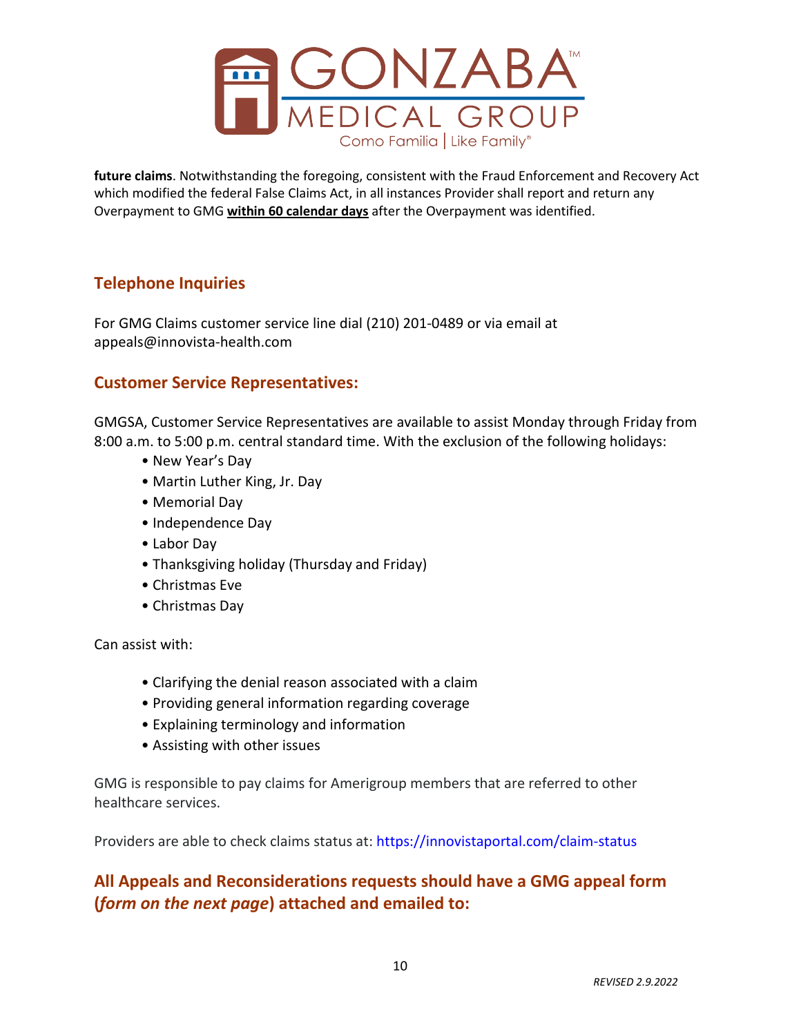

**future claims**. Notwithstanding the foregoing, consistent with the Fraud Enforcement and Recovery Act which modified the federal False Claims Act, in all instances Provider shall report and return any Overpayment to GMG **within 60 calendar days** after the Overpayment was identified.

### **Telephone Inquiries**

For GMG Claims customer service line dial (210) 201-0489 or via email at appeals@innovista-health.com

#### **Customer Service Representatives:**

GMGSA, Customer Service Representatives are available to assist Monday through Friday from 8:00 a.m. to 5:00 p.m. central standard time. With the exclusion of the following holidays:

- New Year's Day
- Martin Luther King, Jr. Day
- Memorial Day
- Independence Day
- Labor Day
- Thanksgiving holiday (Thursday and Friday)
- Christmas Eve
- Christmas Day

Can assist with:

- Clarifying the denial reason associated with a claim
- Providing general information regarding coverage
- Explaining terminology and information
- Assisting with other issues

GMG is responsible to pay claims for Amerigroup members that are referred to other healthcare services.

Providers are able to check claims status at: https://innovistaportal.com/claim-status

### **All Appeals and Reconsiderations requests should have a GMG appeal form (***form on the next page***) attached and emailed to:**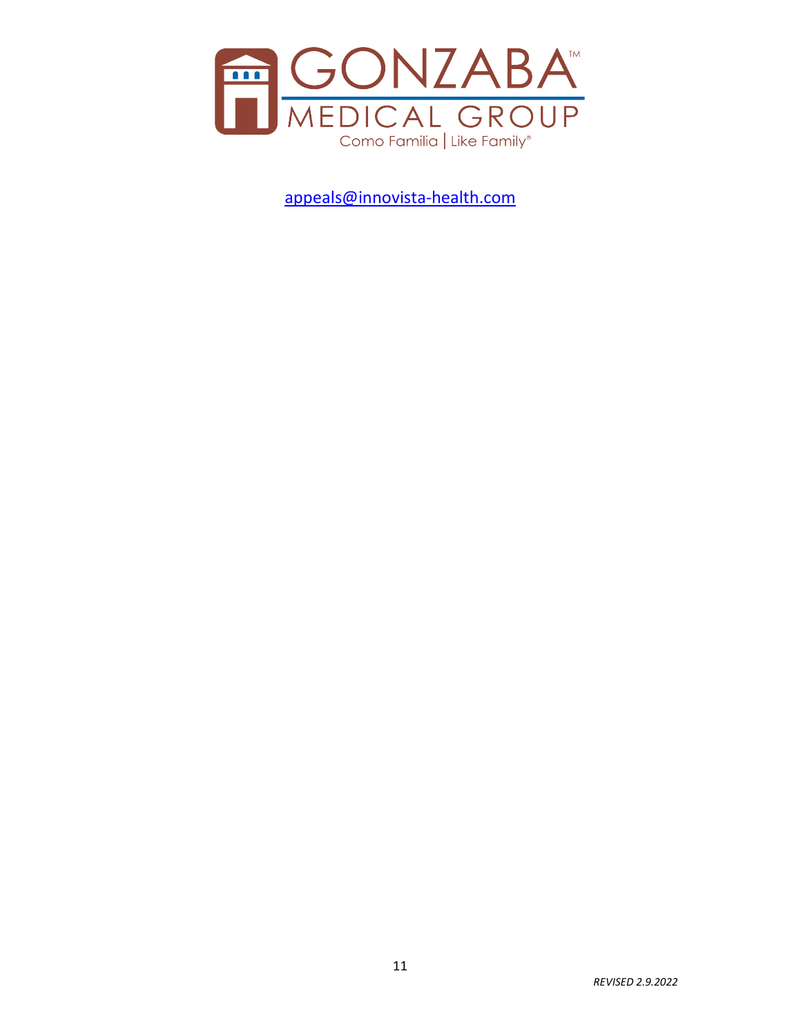

[appeals@innovista-health.com](mailto:appeals@innovista-health.com)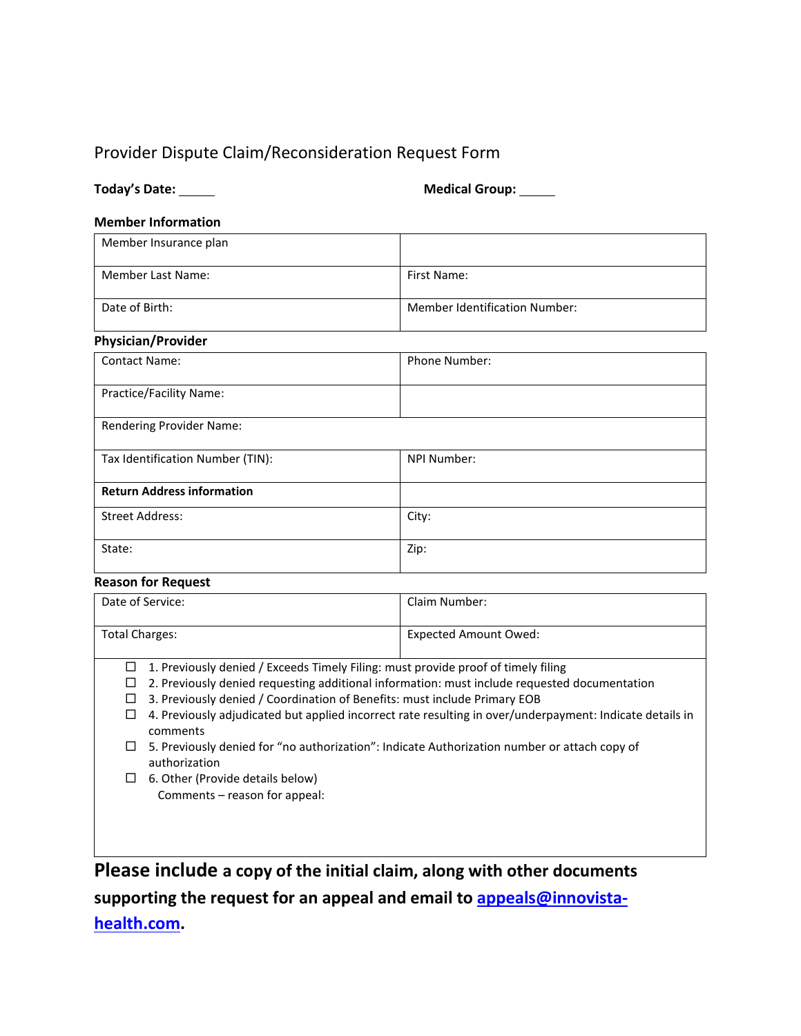### Provider Dispute Claim/Reconsideration Request Form

| Today's Date: |
|---------------|
|---------------|

**Medical Group:** \_\_\_\_\_

#### **Member Information**

| Member Insurance plan |                                      |
|-----------------------|--------------------------------------|
| Member Last Name:     | First Name:                          |
| Date of Birth:        | <b>Member Identification Number:</b> |

## **Physician/Provider**

| <b>Contact Name:</b>              | <b>Phone Number:</b> |
|-----------------------------------|----------------------|
| Practice/Facility Name:           |                      |
| Rendering Provider Name:          |                      |
| Tax Identification Number (TIN):  | NPI Number:          |
| <b>Return Address information</b> |                      |
| <b>Street Address:</b>            | City:                |
| State:                            | Zip:                 |

#### **Reason for Request**

| Date of Service:                                                                                                                                                                                                                                                                                                                                                                                                                                                                                                                 | Claim Number:                |  |  |
|----------------------------------------------------------------------------------------------------------------------------------------------------------------------------------------------------------------------------------------------------------------------------------------------------------------------------------------------------------------------------------------------------------------------------------------------------------------------------------------------------------------------------------|------------------------------|--|--|
| <b>Total Charges:</b>                                                                                                                                                                                                                                                                                                                                                                                                                                                                                                            | <b>Expected Amount Owed:</b> |  |  |
| 1. Previously denied / Exceeds Timely Filing: must provide proof of timely filing<br>⊔<br>2. Previously denied requesting additional information: must include requested documentation<br>⊔<br>3. Previously denied / Coordination of Benefits: must include Primary EOB<br>П<br>4. Previously adjudicated but applied incorrect rate resulting in over/underpayment: Indicate details in<br>□<br>comments<br>5. Previously denied for "no authorization": Indicate Authorization number or attach copy of<br>ப<br>authorization |                              |  |  |
| 6. Other (Provide details below)<br>⊔<br>Comments – reason for appeal:                                                                                                                                                                                                                                                                                                                                                                                                                                                           |                              |  |  |

<span id="page-11-0"></span>**Please include a copy of the initial claim, along with other documents supporting the request for an appeal and email to [appeals@innovista](mailto:appeals@innovista-health.com)[health.com.](mailto:appeals@innovista-health.com)**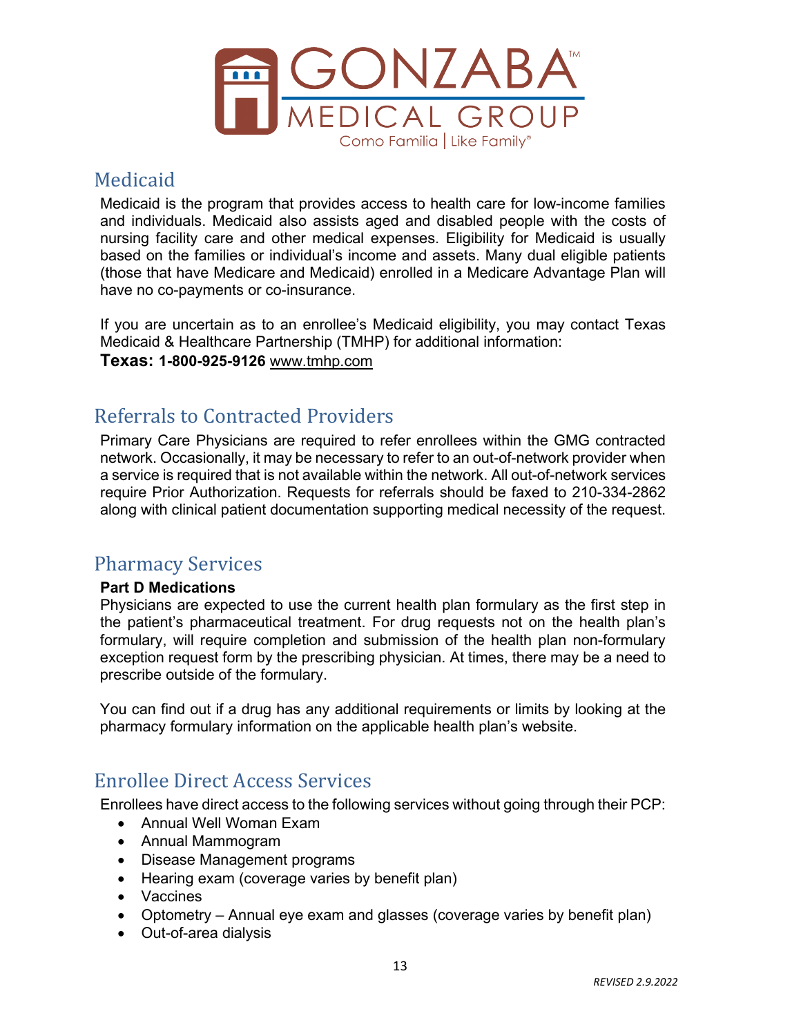

## Medicaid

Medicaid is the program that provides access to health care for low-income families and individuals. Medicaid also assists aged and disabled people with the costs of nursing facility care and other medical expenses. Eligibility for Medicaid is usually based on the families or individual's income and assets. Many dual eligible patients (those that have Medicare and Medicaid) enrolled in a Medicare Advantage Plan will have no co-payments or co-insurance.

If you are uncertain as to an enrollee's Medicaid eligibility, you may contact Texas Medicaid & Healthcare Partnership (TMHP) for additional information:

**Texas: 1-800-925-9126** www.tmhp.com

# <span id="page-12-0"></span>Referrals to Contracted Providers

Primary Care Physicians are required to refer enrollees within the GMG contracted network. Occasionally, it may be necessary to refer to an out-of-network provider when a service is required that is not available within the network. All out-of-network services require Prior Authorization. Requests for referrals should be faxed to 210-334-2862 along with clinical patient documentation supporting medical necessity of the request.

### <span id="page-12-1"></span>Pharmacy Services

#### **Part D Medications**

Physicians are expected to use the current health plan formulary as the first step in the patient's pharmaceutical treatment. For drug requests not on the health plan's formulary, will require completion and submission of the health plan non-formulary exception request form by the prescribing physician. At times, there may be a need to prescribe outside of the formulary.

You can find out if a drug has any additional requirements or limits by looking at the pharmacy formulary information on the applicable health plan's website.

### <span id="page-12-2"></span>Enrollee Direct Access Services

Enrollees have direct access to the following services without going through their PCP:

- Annual Well Woman Exam
- Annual Mammogram
- Disease Management programs
- Hearing exam (coverage varies by benefit plan)
- Vaccines
- Optometry Annual eye exam and glasses (coverage varies by benefit plan)
- Out-of-area dialysis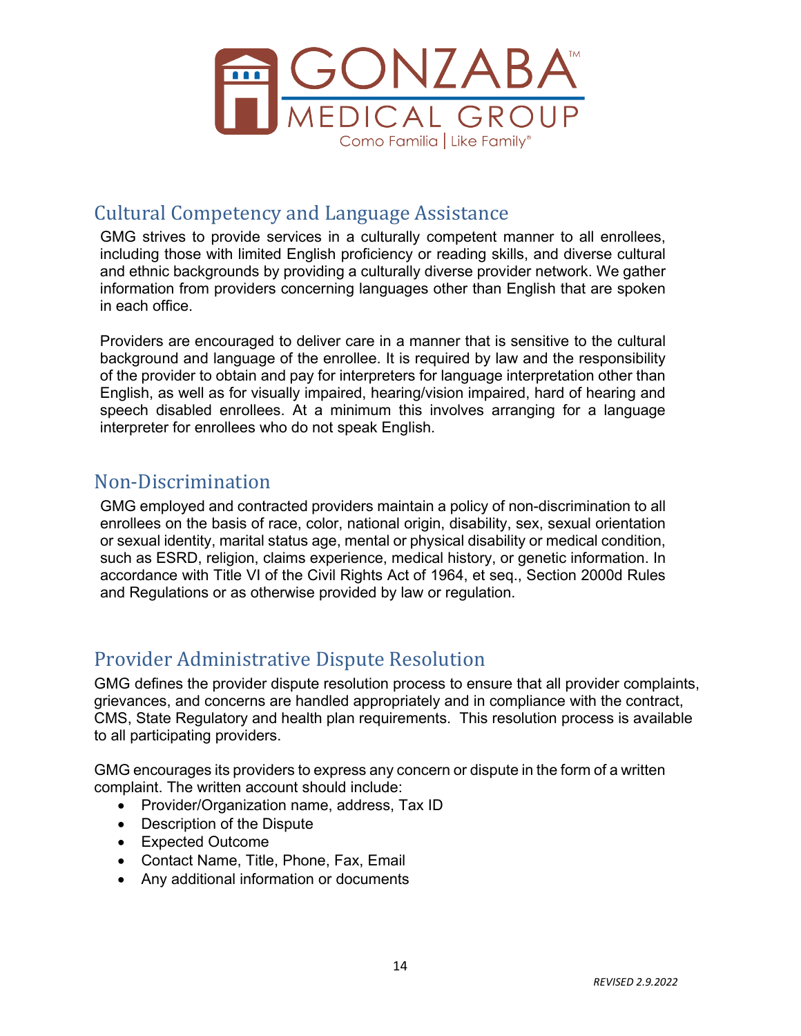

## <span id="page-13-0"></span>Cultural Competency and Language Assistance

GMG strives to provide services in a culturally competent manner to all enrollees, including those with limited English proficiency or reading skills, and diverse cultural and ethnic backgrounds by providing a culturally diverse provider network. We gather information from providers concerning languages other than English that are spoken in each office.

Providers are encouraged to deliver care in a manner that is sensitive to the cultural background and language of the enrollee. It is required by law and the responsibility of the provider to obtain and pay for interpreters for language interpretation other than English, as well as for visually impaired, hearing/vision impaired, hard of hearing and speech disabled enrollees. At a minimum this involves arranging for a language interpreter for enrollees who do not speak English.

## <span id="page-13-1"></span>Non-Discrimination

GMG employed and contracted providers maintain a policy of non-discrimination to all enrollees on the basis of race, color, national origin, disability, sex, sexual orientation or sexual identity, marital status age, mental or physical disability or medical condition, such as ESRD, religion, claims experience, medical history, or genetic information. In accordance with Title VI of the Civil Rights Act of 1964, et seq., Section 2000d Rules and Regulations or as otherwise provided by law or regulation.

# <span id="page-13-2"></span>Provider Administrative Dispute Resolution

GMG defines the provider dispute resolution process to ensure that all provider complaints, grievances, and concerns are handled appropriately and in compliance with the contract, CMS, State Regulatory and health plan requirements. This resolution process is available to all participating providers.

GMG encourages its providers to express any concern or dispute in the form of a written complaint. The written account should include:

- Provider/Organization name, address, Tax ID
- Description of the Dispute
- Expected Outcome
- Contact Name, Title, Phone, Fax, Email
- Any additional information or documents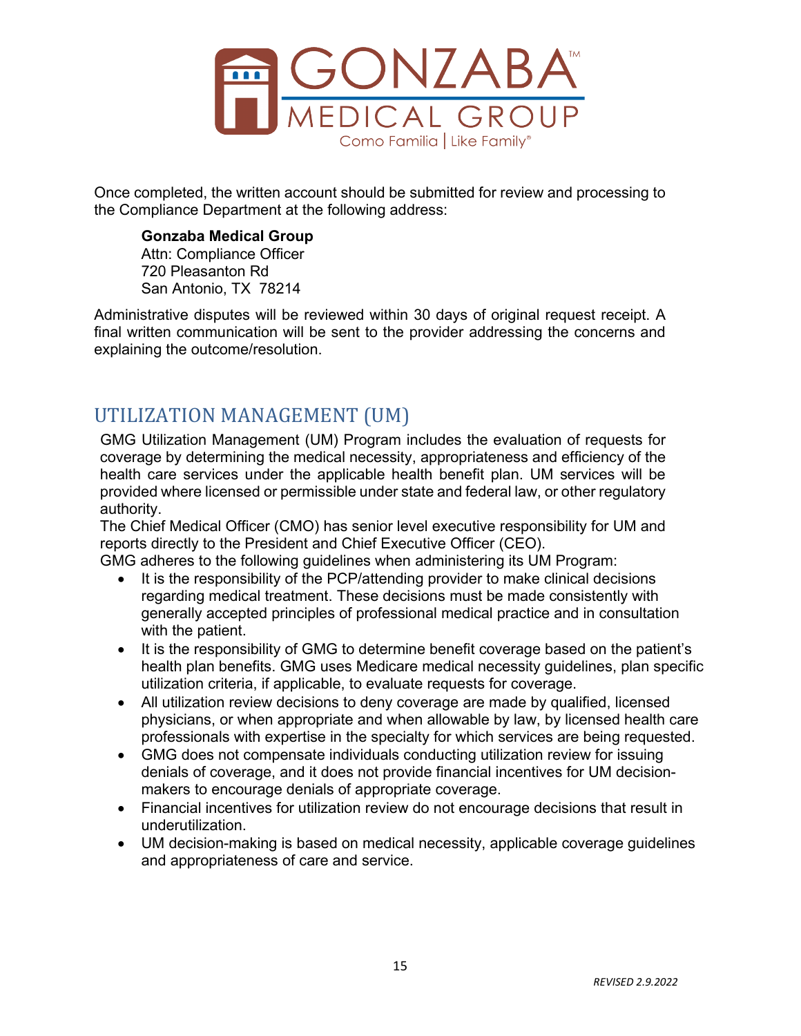

Once completed, the written account should be submitted for review and processing to the Compliance Department at the following address:

**Gonzaba Medical Group**  Attn: Compliance Officer 720 Pleasanton Rd San Antonio, TX 78214

Administrative disputes will be reviewed within 30 days of original request receipt. A final written communication will be sent to the provider addressing the concerns and explaining the outcome/resolution.

# <span id="page-14-0"></span>UTILIZATION MANAGEMENT (UM)

GMG Utilization Management (UM) Program includes the evaluation of requests for coverage by determining the medical necessity, appropriateness and efficiency of the health care services under the applicable health benefit plan. UM services will be provided where licensed or permissible under state and federal law, or other regulatory authority.

The Chief Medical Officer (CMO) has senior level executive responsibility for UM and reports directly to the President and Chief Executive Officer (CEO).

GMG adheres to the following guidelines when administering its UM Program:

- It is the responsibility of the PCP/attending provider to make clinical decisions regarding medical treatment. These decisions must be made consistently with generally accepted principles of professional medical practice and in consultation with the patient.
- It is the responsibility of GMG to determine benefit coverage based on the patient's health plan benefits. GMG uses Medicare medical necessity guidelines, plan specific utilization criteria, if applicable, to evaluate requests for coverage.
- All utilization review decisions to deny coverage are made by qualified, licensed physicians, or when appropriate and when allowable by law, by licensed health care professionals with expertise in the specialty for which services are being requested.
- GMG does not compensate individuals conducting utilization review for issuing denials of coverage, and it does not provide financial incentives for UM decisionmakers to encourage denials of appropriate coverage.
- Financial incentives for utilization review do not encourage decisions that result in underutilization.
- UM decision-making is based on medical necessity, applicable coverage guidelines and appropriateness of care and service.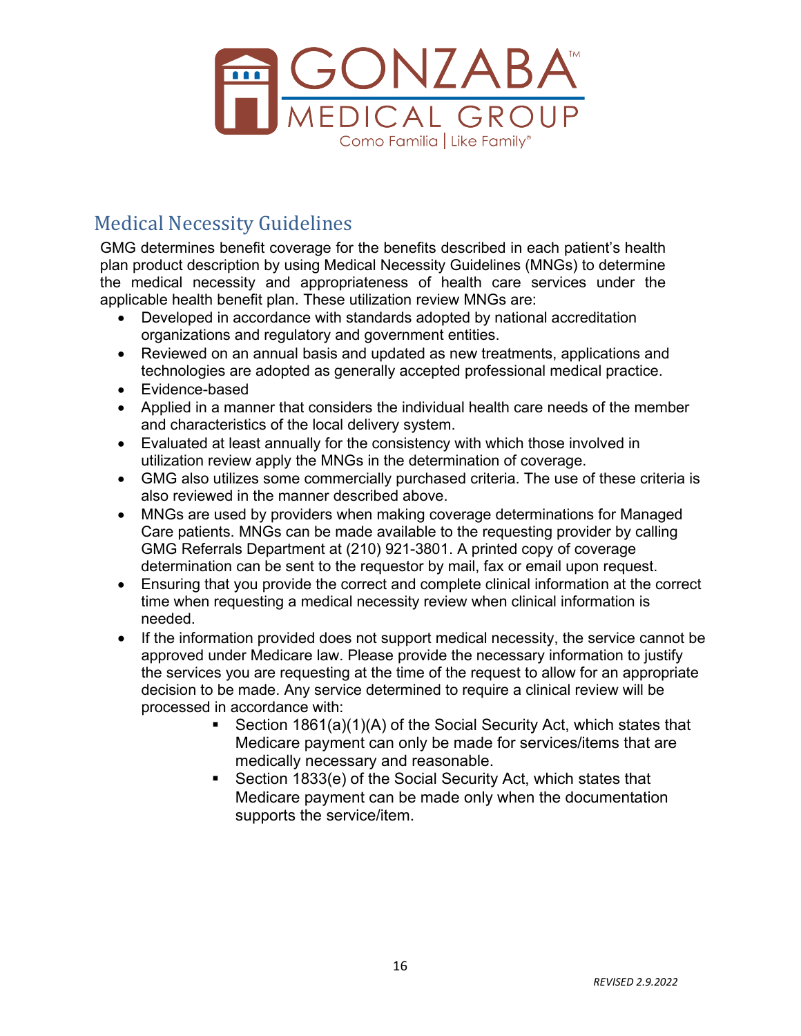

# <span id="page-15-0"></span>Medical Necessity Guidelines

GMG determines benefit coverage for the benefits described in each patient's health plan product description by using Medical Necessity Guidelines (MNGs) to determine the medical necessity and appropriateness of health care services under the applicable health benefit plan. These utilization review MNGs are:

- Developed in accordance with standards adopted by national accreditation organizations and regulatory and government entities.
- Reviewed on an annual basis and updated as new treatments, applications and technologies are adopted as generally accepted professional medical practice.
- Evidence-based
- Applied in a manner that considers the individual health care needs of the member and characteristics of the local delivery system.
- Evaluated at least annually for the consistency with which those involved in utilization review apply the MNGs in the determination of coverage.
- GMG also utilizes some commercially purchased criteria. The use of these criteria is also reviewed in the manner described above.
- MNGs are used by providers when making coverage determinations for Managed Care patients. MNGs can be made available to the requesting provider by calling GMG Referrals Department at (210) 921-3801. A printed copy of coverage determination can be sent to the requestor by mail, fax or email upon request.
- Ensuring that you provide the correct and complete clinical information at the correct time when requesting a medical necessity review when clinical information is needed.
- If the information provided does not support medical necessity, the service cannot be approved under Medicare law. Please provide the necessary information to justify the services you are requesting at the time of the request to allow for an appropriate decision to be made. Any service determined to require a clinical review will be processed in accordance with:
	- Section 1861(a)(1)(A) of the Social Security Act, which states that Medicare payment can only be made for services/items that are medically necessary and reasonable.
	- Section 1833(e) of the Social Security Act, which states that Medicare payment can be made only when the documentation supports the service/item.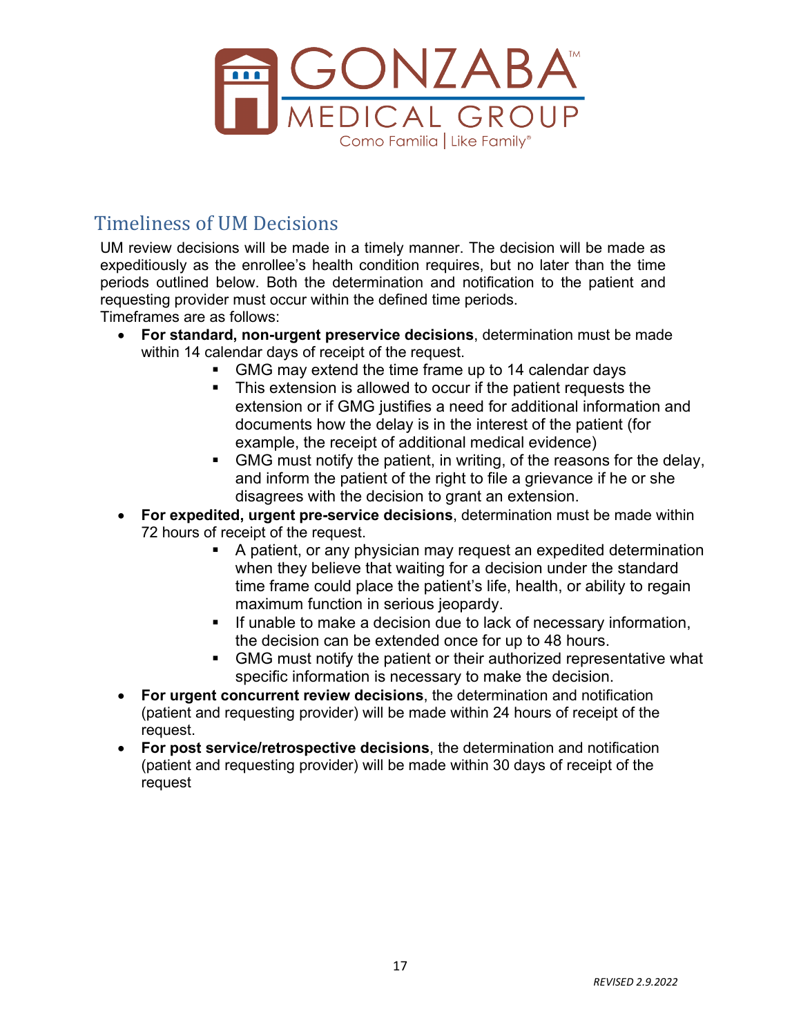

# <span id="page-16-0"></span>Timeliness of UM Decisions

UM review decisions will be made in a timely manner. The decision will be made as expeditiously as the enrollee's health condition requires, but no later than the time periods outlined below. Both the determination and notification to the patient and requesting provider must occur within the defined time periods.

Timeframes are as follows:

- **For standard, non-urgent preservice decisions**, determination must be made within 14 calendar days of receipt of the request.
	- GMG may extend the time frame up to 14 calendar days
	- This extension is allowed to occur if the patient requests the extension or if GMG justifies a need for additional information and documents how the delay is in the interest of the patient (for example, the receipt of additional medical evidence)
	- GMG must notify the patient, in writing, of the reasons for the delay, and inform the patient of the right to file a grievance if he or she disagrees with the decision to grant an extension.
- **For expedited, urgent pre-service decisions**, determination must be made within 72 hours of receipt of the request.
	- A patient, or any physician may request an expedited determination when they believe that waiting for a decision under the standard time frame could place the patient's life, health, or ability to regain maximum function in serious jeopardy.
	- **If unable to make a decision due to lack of necessary information,** the decision can be extended once for up to 48 hours.
	- GMG must notify the patient or their authorized representative what specific information is necessary to make the decision.
- **For urgent concurrent review decisions**, the determination and notification (patient and requesting provider) will be made within 24 hours of receipt of the request.
- **For post service/retrospective decisions**, the determination and notification (patient and requesting provider) will be made within 30 days of receipt of the request